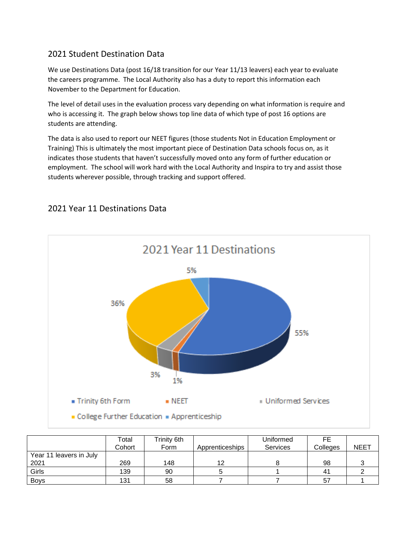## 2021 Student Destination Data

We use Destinations Data (post 16/18 transition for our Year 11/13 leavers) each year to evaluate the careers programme. The Local Authority also has a duty to report this information each November to the Department for Education.

The level of detail uses in the evaluation process vary depending on what information is require and who is accessing it. The graph below shows top line data of which type of post 16 options are students are attending.

The data is also used to report our NEET figures (those students Not in Education Employment or Training) This is ultimately the most important piece of Destination Data schools focus on, as it indicates those students that haven't successfully moved onto any form of further education or employment. The school will work hard with the Local Authority and Inspira to try and assist those students wherever possible, through tracking and support offered.



## 2021 Year 11 Destinations Data

|                         | Total<br>Cohort | Trinity 6th<br>Form | Apprenticeships | Uniformed<br><b>Services</b> | FE.<br>Colleges | <b>NEET</b> |
|-------------------------|-----------------|---------------------|-----------------|------------------------------|-----------------|-------------|
| Year 11 leavers in July |                 |                     |                 |                              |                 |             |
| 2021                    | 269             | 148                 | 12              |                              | 98              |             |
| Girls                   | 139             | 90                  |                 |                              | 41              |             |
| <b>Boys</b>             | 131             | 58                  |                 |                              | 57              |             |